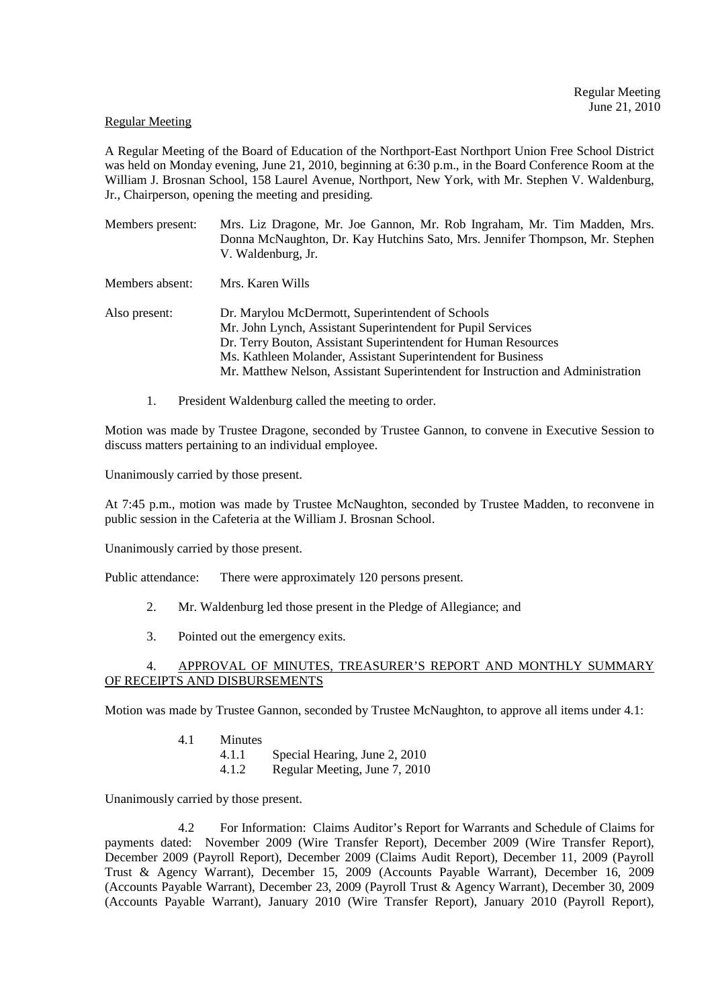## Regular Meeting

A Regular Meeting of the Board of Education of the Northport-East Northport Union Free School District was held on Monday evening, June 21, 2010, beginning at 6:30 p.m., in the Board Conference Room at the William J. Brosnan School, 158 Laurel Avenue, Northport, New York, with Mr. Stephen V. Waldenburg, Jr., Chairperson, opening the meeting and presiding.

Members present: Mrs. Liz Dragone, Mr. Joe Gannon, Mr. Rob Ingraham, Mr. Tim Madden, Mrs. Donna McNaughton, Dr. Kay Hutchins Sato, Mrs. Jennifer Thompson, Mr. Stephen V. Waldenburg, Jr.

Members absent: Mrs. Karen Wills

- Also present: Dr. Marylou McDermott, Superintendent of Schools Mr. John Lynch, Assistant Superintendent for Pupil Services Dr. Terry Bouton, Assistant Superintendent for Human Resources Ms. Kathleen Molander, Assistant Superintendent for Business Mr. Matthew Nelson, Assistant Superintendent for Instruction and Administration
	- 1. President Waldenburg called the meeting to order.

Motion was made by Trustee Dragone, seconded by Trustee Gannon, to convene in Executive Session to discuss matters pertaining to an individual employee.

Unanimously carried by those present.

At 7:45 p.m., motion was made by Trustee McNaughton, seconded by Trustee Madden, to reconvene in public session in the Cafeteria at the William J. Brosnan School.

Unanimously carried by those present.

Public attendance: There were approximately 120 persons present.

- 2. Mr. Waldenburg led those present in the Pledge of Allegiance; and
- 3. Pointed out the emergency exits.

## 4. APPROVAL OF MINUTES, TREASURER'S REPORT AND MONTHLY SUMMARY OF RECEIPTS AND DISBURSEMENTS

Motion was made by Trustee Gannon, seconded by Trustee McNaughton, to approve all items under 4.1:

- 4.1 Minutes
	- 4.1.1 Special Hearing, June 2, 2010
	- 4.1.2 Regular Meeting, June 7, 2010

Unanimously carried by those present.

 4.2 For Information: Claims Auditor's Report for Warrants and Schedule of Claims for payments dated: November 2009 (Wire Transfer Report), December 2009 (Wire Transfer Report), December 2009 (Payroll Report), December 2009 (Claims Audit Report), December 11, 2009 (Payroll Trust & Agency Warrant), December 15, 2009 (Accounts Payable Warrant), December 16, 2009 (Accounts Payable Warrant), December 23, 2009 (Payroll Trust & Agency Warrant), December 30, 2009 (Accounts Payable Warrant), January 2010 (Wire Transfer Report), January 2010 (Payroll Report),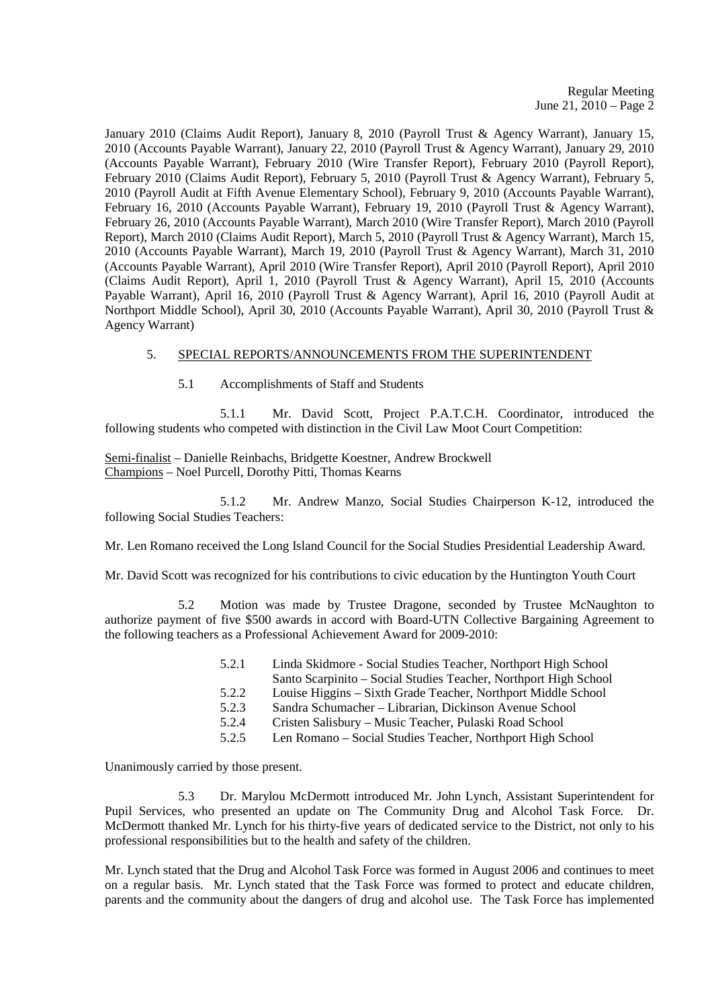January 2010 (Claims Audit Report), January 8, 2010 (Payroll Trust & Agency Warrant), January 15, 2010 (Accounts Payable Warrant), January 22, 2010 (Payroll Trust & Agency Warrant), January 29, 2010 (Accounts Payable Warrant), February 2010 (Wire Transfer Report), February 2010 (Payroll Report), February 2010 (Claims Audit Report), February 5, 2010 (Payroll Trust & Agency Warrant), February 5, 2010 (Payroll Audit at Fifth Avenue Elementary School), February 9, 2010 (Accounts Payable Warrant), February 16, 2010 (Accounts Payable Warrant), February 19, 2010 (Payroll Trust & Agency Warrant), February 26, 2010 (Accounts Payable Warrant), March 2010 (Wire Transfer Report), March 2010 (Payroll Report), March 2010 (Claims Audit Report), March 5, 2010 (Payroll Trust & Agency Warrant), March 15, 2010 (Accounts Payable Warrant), March 19, 2010 (Payroll Trust & Agency Warrant), March 31, 2010 (Accounts Payable Warrant), April 2010 (Wire Transfer Report), April 2010 (Payroll Report), April 2010 (Claims Audit Report), April 1, 2010 (Payroll Trust & Agency Warrant), April 15, 2010 (Accounts Payable Warrant), April 16, 2010 (Payroll Trust & Agency Warrant), April 16, 2010 (Payroll Audit at Northport Middle School), April 30, 2010 (Accounts Payable Warrant), April 30, 2010 (Payroll Trust & Agency Warrant)

## 5. SPECIAL REPORTS/ANNOUNCEMENTS FROM THE SUPERINTENDENT

5.1 Accomplishments of Staff and Students

 5.1.1 Mr. David Scott, Project P.A.T.C.H. Coordinator, introduced the following students who competed with distinction in the Civil Law Moot Court Competition:

Semi-finalist – Danielle Reinbachs, Bridgette Koestner, Andrew Brockwell Champions – Noel Purcell, Dorothy Pitti, Thomas Kearns

 5.1.2 Mr. Andrew Manzo, Social Studies Chairperson K-12, introduced the following Social Studies Teachers:

Mr. Len Romano received the Long Island Council for the Social Studies Presidential Leadership Award.

Mr. David Scott was recognized for his contributions to civic education by the Huntington Youth Court

 5.2 Motion was made by Trustee Dragone, seconded by Trustee McNaughton to authorize payment of five \$500 awards in accord with Board-UTN Collective Bargaining Agreement to the following teachers as a Professional Achievement Award for 2009-2010:

| 5.2.1 | Linda Skidmore - Social Studies Teacher, Northport High School   |
|-------|------------------------------------------------------------------|
|       | Santo Scarpinito – Social Studies Teacher, Northport High School |
| 5.2.2 | Louise Higgins – Sixth Grade Teacher, Northport Middle School    |
| 5.2.3 | Sandra Schumacher – Librarian, Dickinson Avenue School           |
| 5.2.4 | Cristen Salisbury – Music Teacher, Pulaski Road School           |
| 5.2.5 | Len Romano – Social Studies Teacher, Northport High School       |

Unanimously carried by those present.

 5.3 Dr. Marylou McDermott introduced Mr. John Lynch, Assistant Superintendent for Pupil Services, who presented an update on The Community Drug and Alcohol Task Force. Dr. McDermott thanked Mr. Lynch for his thirty-five years of dedicated service to the District, not only to his professional responsibilities but to the health and safety of the children.

Mr. Lynch stated that the Drug and Alcohol Task Force was formed in August 2006 and continues to meet on a regular basis. Mr. Lynch stated that the Task Force was formed to protect and educate children, parents and the community about the dangers of drug and alcohol use. The Task Force has implemented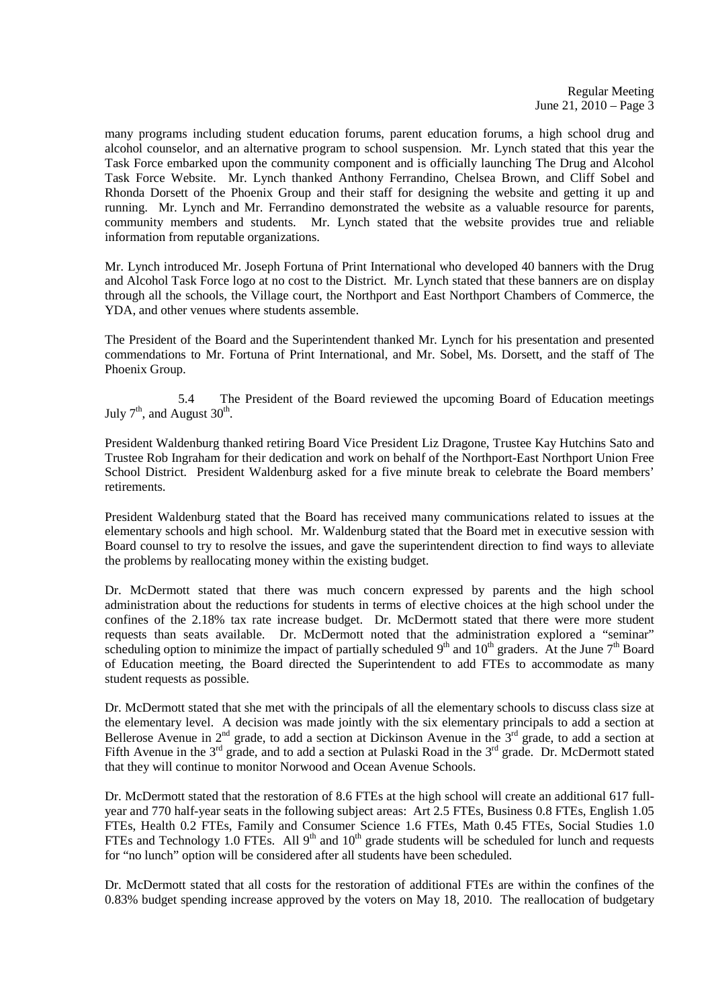many programs including student education forums, parent education forums, a high school drug and alcohol counselor, and an alternative program to school suspension. Mr. Lynch stated that this year the Task Force embarked upon the community component and is officially launching The Drug and Alcohol Task Force Website. Mr. Lynch thanked Anthony Ferrandino, Chelsea Brown, and Cliff Sobel and Rhonda Dorsett of the Phoenix Group and their staff for designing the website and getting it up and running. Mr. Lynch and Mr. Ferrandino demonstrated the website as a valuable resource for parents, community members and students. Mr. Lynch stated that the website provides true and reliable information from reputable organizations.

Mr. Lynch introduced Mr. Joseph Fortuna of Print International who developed 40 banners with the Drug and Alcohol Task Force logo at no cost to the District. Mr. Lynch stated that these banners are on display through all the schools, the Village court, the Northport and East Northport Chambers of Commerce, the YDA, and other venues where students assemble.

The President of the Board and the Superintendent thanked Mr. Lynch for his presentation and presented commendations to Mr. Fortuna of Print International, and Mr. Sobel, Ms. Dorsett, and the staff of The Phoenix Group.

 5.4 The President of the Board reviewed the upcoming Board of Education meetings July  $7<sup>th</sup>$ , and August  $30<sup>th</sup>$ .

President Waldenburg thanked retiring Board Vice President Liz Dragone, Trustee Kay Hutchins Sato and Trustee Rob Ingraham for their dedication and work on behalf of the Northport-East Northport Union Free School District. President Waldenburg asked for a five minute break to celebrate the Board members' retirements.

President Waldenburg stated that the Board has received many communications related to issues at the elementary schools and high school. Mr. Waldenburg stated that the Board met in executive session with Board counsel to try to resolve the issues, and gave the superintendent direction to find ways to alleviate the problems by reallocating money within the existing budget.

Dr. McDermott stated that there was much concern expressed by parents and the high school administration about the reductions for students in terms of elective choices at the high school under the confines of the 2.18% tax rate increase budget. Dr. McDermott stated that there were more student requests than seats available. Dr. McDermott noted that the administration explored a "seminar" scheduling option to minimize the impact of partially scheduled  $9<sup>th</sup>$  and  $10<sup>th</sup>$  graders. At the June  $7<sup>th</sup>$  Board of Education meeting, the Board directed the Superintendent to add FTEs to accommodate as many student requests as possible.

Dr. McDermott stated that she met with the principals of all the elementary schools to discuss class size at the elementary level. A decision was made jointly with the six elementary principals to add a section at Bellerose Avenue in  $2^{nd}$  grade, to add a section at Dickinson Avenue in the  $3^{rd}$  grade, to add a section at Fifth Avenue in the  $3<sup>rd</sup>$  grade, and to add a section at Pulaski Road in the  $3<sup>rd</sup>$  grade. Dr. McDermott stated that they will continue to monitor Norwood and Ocean Avenue Schools.

Dr. McDermott stated that the restoration of 8.6 FTEs at the high school will create an additional 617 fullyear and 770 half-year seats in the following subject areas: Art 2.5 FTEs, Business 0.8 FTEs, English 1.05 FTEs, Health 0.2 FTEs, Family and Consumer Science 1.6 FTEs, Math 0.45 FTEs, Social Studies 1.0 FTEs and Technology 1.0 FTEs. All 9<sup>th</sup> and 10<sup>th</sup> grade students will be scheduled for lunch and requests for "no lunch" option will be considered after all students have been scheduled.

Dr. McDermott stated that all costs for the restoration of additional FTEs are within the confines of the 0.83% budget spending increase approved by the voters on May 18, 2010. The reallocation of budgetary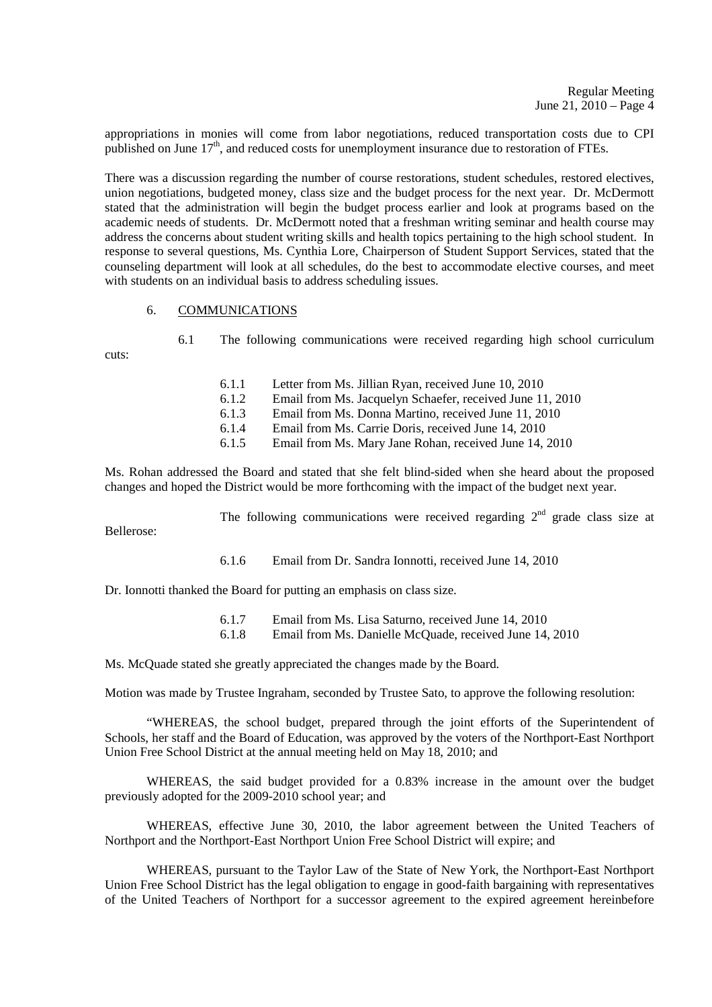appropriations in monies will come from labor negotiations, reduced transportation costs due to CPI published on June  $17<sup>th</sup>$ , and reduced costs for unemployment insurance due to restoration of FTEs.

There was a discussion regarding the number of course restorations, student schedules, restored electives, union negotiations, budgeted money, class size and the budget process for the next year. Dr. McDermott stated that the administration will begin the budget process earlier and look at programs based on the academic needs of students. Dr. McDermott noted that a freshman writing seminar and health course may address the concerns about student writing skills and health topics pertaining to the high school student. In response to several questions, Ms. Cynthia Lore, Chairperson of Student Support Services, stated that the counseling department will look at all schedules, do the best to accommodate elective courses, and meet with students on an individual basis to address scheduling issues.

## 6. COMMUNICATIONS

cuts:

- 6.1 The following communications were received regarding high school curriculum
	- 6.1.1 Letter from Ms. Jillian Ryan, received June 10, 2010
	- 6.1.2 Email from Ms. Jacquelyn Schaefer, received June 11, 2010
	- 6.1.3 Email from Ms. Donna Martino, received June 11, 2010<br>6.1.4 Email from Ms. Carrie Doris, received June 14, 2010
	- Email from Ms. Carrie Doris, received June 14, 2010
	- 6.1.5 Email from Ms. Mary Jane Rohan, received June 14, 2010

Ms. Rohan addressed the Board and stated that she felt blind-sided when she heard about the proposed changes and hoped the District would be more forthcoming with the impact of the budget next year.

The following communications were received regarding  $2<sup>nd</sup>$  grade class size at

Bellerose:

6.1.6 Email from Dr. Sandra Ionnotti, received June 14, 2010

Dr. Ionnotti thanked the Board for putting an emphasis on class size.

 6.1.7 Email from Ms. Lisa Saturno, received June 14, 2010 6.1.8 Email from Ms. Danielle McQuade, received June 14, 2010

Ms. McQuade stated she greatly appreciated the changes made by the Board.

Motion was made by Trustee Ingraham, seconded by Trustee Sato, to approve the following resolution:

 "WHEREAS, the school budget, prepared through the joint efforts of the Superintendent of Schools, her staff and the Board of Education, was approved by the voters of the Northport-East Northport Union Free School District at the annual meeting held on May 18, 2010; and

 WHEREAS, the said budget provided for a 0.83% increase in the amount over the budget previously adopted for the 2009-2010 school year; and

 WHEREAS, effective June 30, 2010, the labor agreement between the United Teachers of Northport and the Northport-East Northport Union Free School District will expire; and

 WHEREAS, pursuant to the Taylor Law of the State of New York, the Northport-East Northport Union Free School District has the legal obligation to engage in good-faith bargaining with representatives of the United Teachers of Northport for a successor agreement to the expired agreement hereinbefore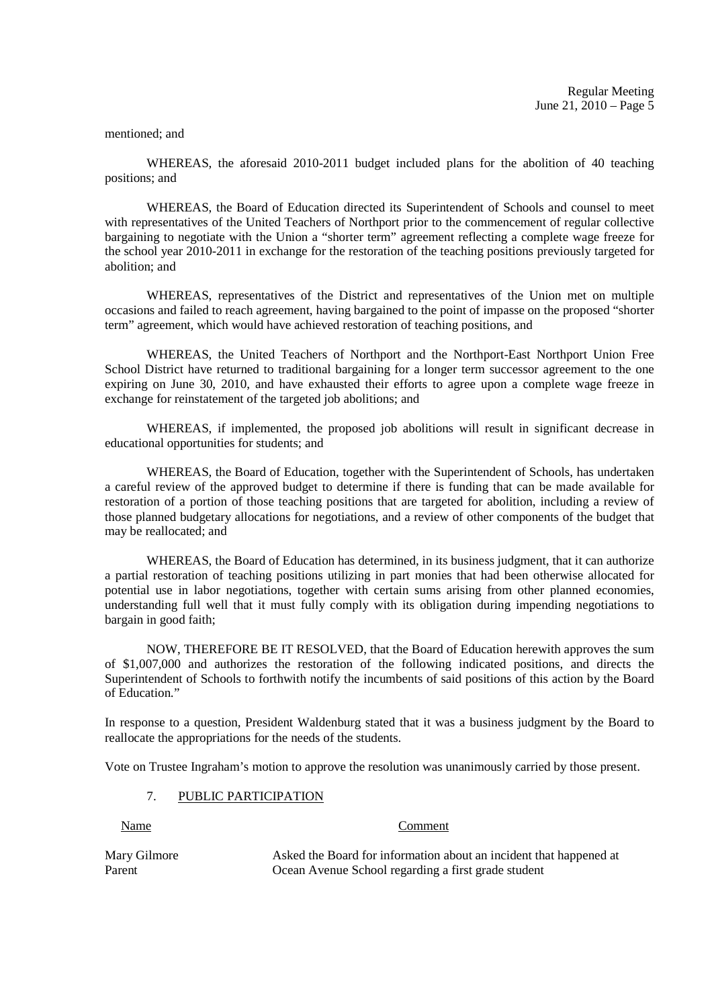#### mentioned; and

 WHEREAS, the aforesaid 2010-2011 budget included plans for the abolition of 40 teaching positions; and

 WHEREAS, the Board of Education directed its Superintendent of Schools and counsel to meet with representatives of the United Teachers of Northport prior to the commencement of regular collective bargaining to negotiate with the Union a "shorter term" agreement reflecting a complete wage freeze for the school year 2010-2011 in exchange for the restoration of the teaching positions previously targeted for abolition; and

 WHEREAS, representatives of the District and representatives of the Union met on multiple occasions and failed to reach agreement, having bargained to the point of impasse on the proposed "shorter term" agreement, which would have achieved restoration of teaching positions, and

 WHEREAS, the United Teachers of Northport and the Northport-East Northport Union Free School District have returned to traditional bargaining for a longer term successor agreement to the one expiring on June 30, 2010, and have exhausted their efforts to agree upon a complete wage freeze in exchange for reinstatement of the targeted job abolitions; and

 WHEREAS, if implemented, the proposed job abolitions will result in significant decrease in educational opportunities for students; and

 WHEREAS, the Board of Education, together with the Superintendent of Schools, has undertaken a careful review of the approved budget to determine if there is funding that can be made available for restoration of a portion of those teaching positions that are targeted for abolition, including a review of those planned budgetary allocations for negotiations, and a review of other components of the budget that may be reallocated; and

 WHEREAS, the Board of Education has determined, in its business judgment, that it can authorize a partial restoration of teaching positions utilizing in part monies that had been otherwise allocated for potential use in labor negotiations, together with certain sums arising from other planned economies, understanding full well that it must fully comply with its obligation during impending negotiations to bargain in good faith;

 NOW, THEREFORE BE IT RESOLVED, that the Board of Education herewith approves the sum of \$1,007,000 and authorizes the restoration of the following indicated positions, and directs the Superintendent of Schools to forthwith notify the incumbents of said positions of this action by the Board of Education<sup>"</sup>

In response to a question, President Waldenburg stated that it was a business judgment by the Board to reallocate the appropriations for the needs of the students.

Vote on Trustee Ingraham's motion to approve the resolution was unanimously carried by those present.

#### 7. PUBLIC PARTICIPATION

#### Name Comment

Mary Gilmore Asked the Board for information about an incident that happened at Parent Ocean Avenue School regarding a first grade student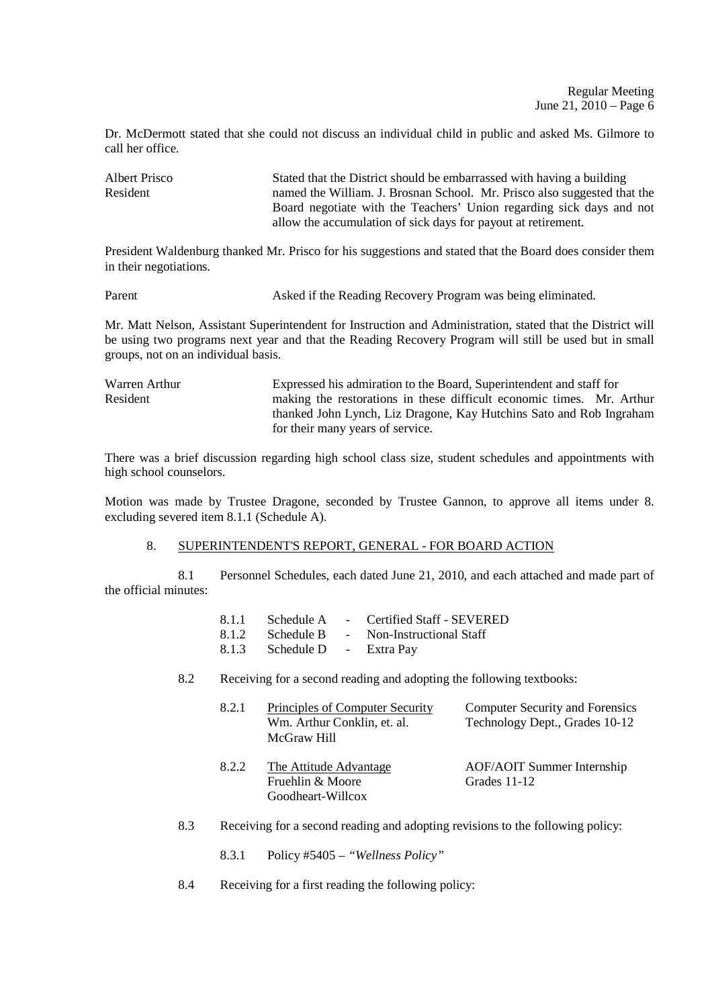Dr. McDermott stated that she could not discuss an individual child in public and asked Ms. Gilmore to call her office.

Albert Prisco Stated that the District should be embarrassed with having a building Resident named the William. J. Brosnan School. Mr. Prisco also suggested that the Board negotiate with the Teachers' Union regarding sick days and not allow the accumulation of sick days for payout at retirement.

President Waldenburg thanked Mr. Prisco for his suggestions and stated that the Board does consider them in their negotiations.

Parent Asked if the Reading Recovery Program was being eliminated.

Mr. Matt Nelson, Assistant Superintendent for Instruction and Administration, stated that the District will be using two programs next year and that the Reading Recovery Program will still be used but in small groups, not on an individual basis.

Warren Arthur Expressed his admiration to the Board, Superintendent and staff for<br>Resident making the restorations in these difficult economic times. Mr. making the restorations in these difficult economic times. Mr. Arthur thanked John Lynch, Liz Dragone, Kay Hutchins Sato and Rob Ingraham for their many years of service.

There was a brief discussion regarding high school class size, student schedules and appointments with high school counselors.

Motion was made by Trustee Dragone, seconded by Trustee Gannon, to approve all items under 8. excluding severed item 8.1.1 (Schedule A).

# 8. SUPERINTENDENT'S REPORT, GENERAL - FOR BOARD ACTION

 8.1 Personnel Schedules, each dated June 21, 2010, and each attached and made part of the official minutes:

|                              | 8.1.1 Schedule A - Certified Staff - SEVERED |
|------------------------------|----------------------------------------------|
|                              | 8.1.2 Schedule B - Non-Instructional Staff   |
| 8.1.3 Schedule D - Extra Pay |                                              |

8.2 Receiving for a second reading and adopting the following textbooks:

| 8.2.1 | Principles of Computer Security<br>Wm. Arthur Conklin, et. al.<br>McGraw Hill | <b>Computer Security and Forensics</b><br>Technology Dept., Grades 10-12 |
|-------|-------------------------------------------------------------------------------|--------------------------------------------------------------------------|
| 8.2.2 | The Attitude Advantage<br>Fruehlin & Moore<br>Goodheart-Willcox               | <b>AOF/AOIT Summer Internship</b><br>Grades 11-12                        |

- 8.3 Receiving for a second reading and adopting revisions to the following policy:
	- 8.3.1 Policy #5405 *"Wellness Policy"*
- 8.4 Receiving for a first reading the following policy: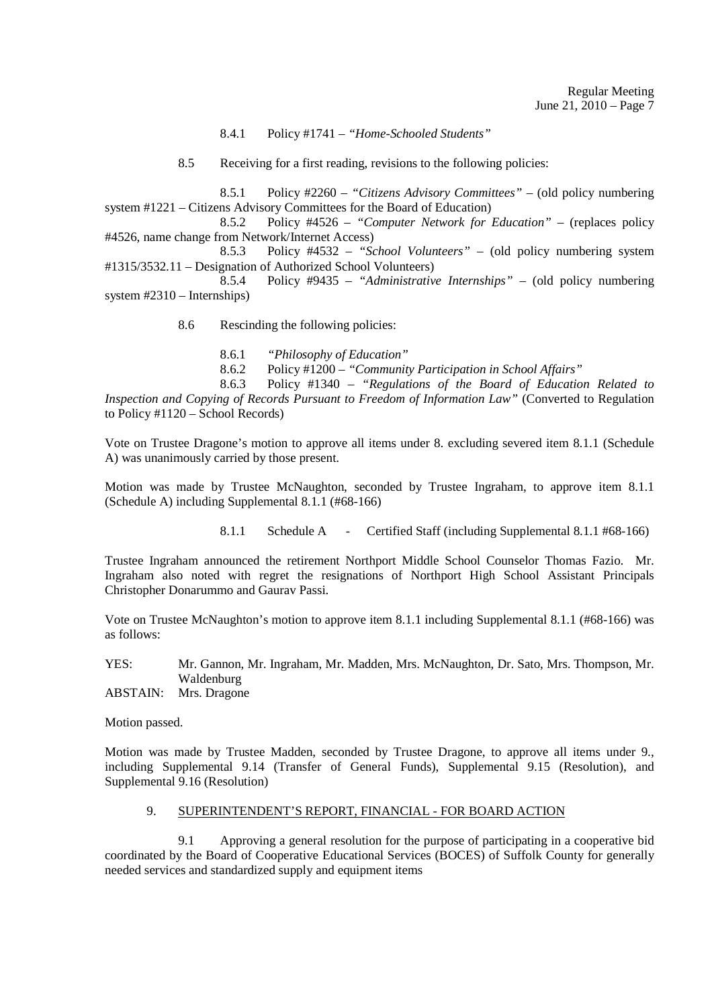8.4.1 Policy #1741 – *"Home-Schooled Students"*

8.5 Receiving for a first reading, revisions to the following policies:

 8.5.1 Policy #2260 – *"Citizens Advisory Committees"* – (old policy numbering system #1221 – Citizens Advisory Committees for the Board of Education)

 8.5.2 Policy #4526 – *"Computer Network for Education"* – (replaces policy #4526, name change from Network/Internet Access)

 8.5.3 Policy #4532 – *"School Volunteers"* – (old policy numbering system  $\text{\#1315/3532.11} - \text{Designation of Authorized School Volunteers})$ <br>8.5.4 Policy  $\text{\#9435} - \text{\#dministrative}$ 

 8.5.4 Policy #9435 – *"Administrative Internships"* – (old policy numbering system #2310 – Internships)

8.6 Rescinding the following policies:

8.6.1 *"Philosophy of Education"*

8.6.2 Policy #1200 – *"Community Participation in School Affairs"*

 8.6.3 Policy #1340 – *"Regulations of the Board of Education Related to Inspection and Copying of Records Pursuant to Freedom of Information Law"* (Converted to Regulation to Policy #1120 – School Records)

Vote on Trustee Dragone's motion to approve all items under 8. excluding severed item 8.1.1 (Schedule A) was unanimously carried by those present.

Motion was made by Trustee McNaughton, seconded by Trustee Ingraham, to approve item 8.1.1 (Schedule A) including Supplemental 8.1.1 (#68-166)

8.1.1 Schedule A - Certified Staff (including Supplemental 8.1.1 #68-166)

Trustee Ingraham announced the retirement Northport Middle School Counselor Thomas Fazio. Mr. Ingraham also noted with regret the resignations of Northport High School Assistant Principals Christopher Donarummo and Gaurav Passi.

Vote on Trustee McNaughton's motion to approve item 8.1.1 including Supplemental 8.1.1 (#68-166) was as follows:

YES: Mr. Gannon, Mr. Ingraham, Mr. Madden, Mrs. McNaughton, Dr. Sato, Mrs. Thompson, Mr. Waldenburg

ABSTAIN: Mrs. Dragone

Motion passed.

Motion was made by Trustee Madden, seconded by Trustee Dragone, to approve all items under 9., including Supplemental 9.14 (Transfer of General Funds), Supplemental 9.15 (Resolution), and Supplemental 9.16 (Resolution)

# 9. SUPERINTENDENT'S REPORT, FINANCIAL - FOR BOARD ACTION

 9.1 Approving a general resolution for the purpose of participating in a cooperative bid coordinated by the Board of Cooperative Educational Services (BOCES) of Suffolk County for generally needed services and standardized supply and equipment items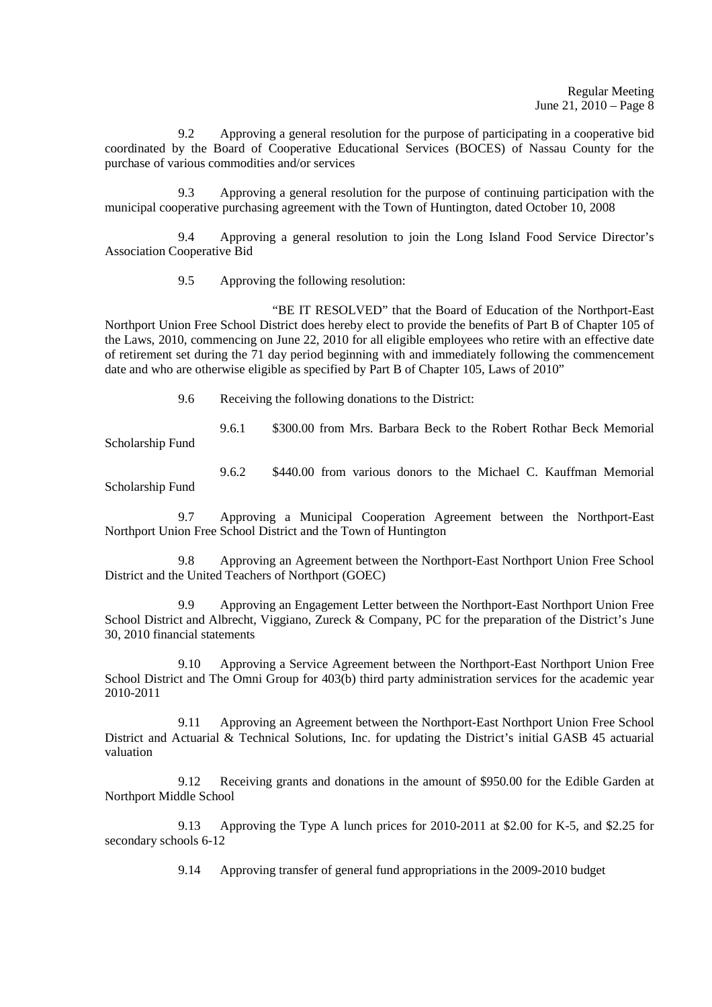9.2 Approving a general resolution for the purpose of participating in a cooperative bid coordinated by the Board of Cooperative Educational Services (BOCES) of Nassau County for the purchase of various commodities and/or services

 9.3 Approving a general resolution for the purpose of continuing participation with the municipal cooperative purchasing agreement with the Town of Huntington, dated October 10, 2008

 9.4 Approving a general resolution to join the Long Island Food Service Director's Association Cooperative Bid

9.5 Approving the following resolution:

 "BE IT RESOLVED" that the Board of Education of the Northport-East Northport Union Free School District does hereby elect to provide the benefits of Part B of Chapter 105 of the Laws, 2010, commencing on June 22, 2010 for all eligible employees who retire with an effective date of retirement set during the 71 day period beginning with and immediately following the commencement date and who are otherwise eligible as specified by Part B of Chapter 105, Laws of 2010"

9.6 Receiving the following donations to the District:

 9.6.1 \$300.00 from Mrs. Barbara Beck to the Robert Rothar Beck Memorial Scholarship Fund

 9.6.2 \$440.00 from various donors to the Michael C. Kauffman Memorial Scholarship Fund

 9.7 Approving a Municipal Cooperation Agreement between the Northport-East Northport Union Free School District and the Town of Huntington

 9.8 Approving an Agreement between the Northport-East Northport Union Free School District and the United Teachers of Northport (GOEC)

 9.9 Approving an Engagement Letter between the Northport-East Northport Union Free School District and Albrecht, Viggiano, Zureck & Company, PC for the preparation of the District's June 30, 2010 financial statements

 9.10 Approving a Service Agreement between the Northport-East Northport Union Free School District and The Omni Group for 403(b) third party administration services for the academic year 2010-2011

 9.11 Approving an Agreement between the Northport-East Northport Union Free School District and Actuarial & Technical Solutions, Inc. for updating the District's initial GASB 45 actuarial valuation

 9.12 Receiving grants and donations in the amount of \$950.00 for the Edible Garden at Northport Middle School

 9.13 Approving the Type A lunch prices for 2010-2011 at \$2.00 for K-5, and \$2.25 for secondary schools 6-12

9.14 Approving transfer of general fund appropriations in the 2009-2010 budget